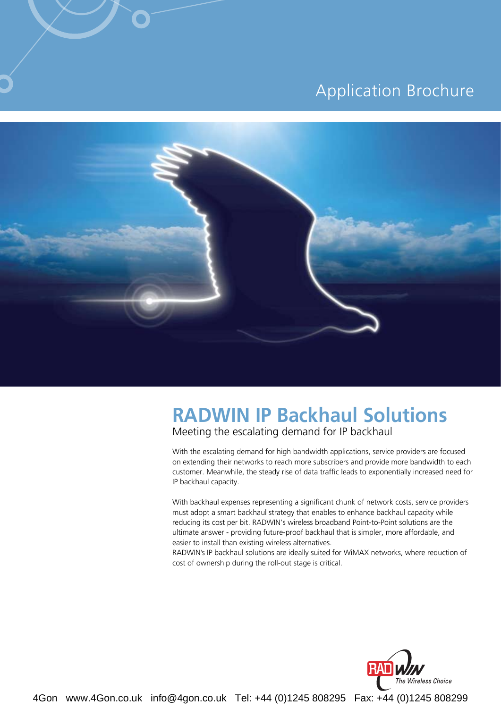#### **Application Brochure**



## **RADWIN IP Backhaul Solutions**

Meeting the escalating demand for IP backhaul

With the escalating demand for high bandwidth applications, service providers are focused on extending their networks to reach more subscribers and provide more bandwidth to each customer. Meanwhile, the steady rise of data traffic leads to exponentially increased need for IP backhaul capacity.

With backhaul expenses representing a significant chunk of network costs, service providers must adopt a smart backhaul strategy that enables to enhance backhaul capacity while reducing its cost per bit. RADWIN's wireless broadband Point-to-Point solutions are the ultimate answer - providing future-proof backhaul that is simpler, more affordable, and easier to install than existing wireless alternatives.

RADWIN's IP backhaul solutions are ideally suited for WiMAX networks, where reduction of cost of ownership during the roll-out stage is critical.

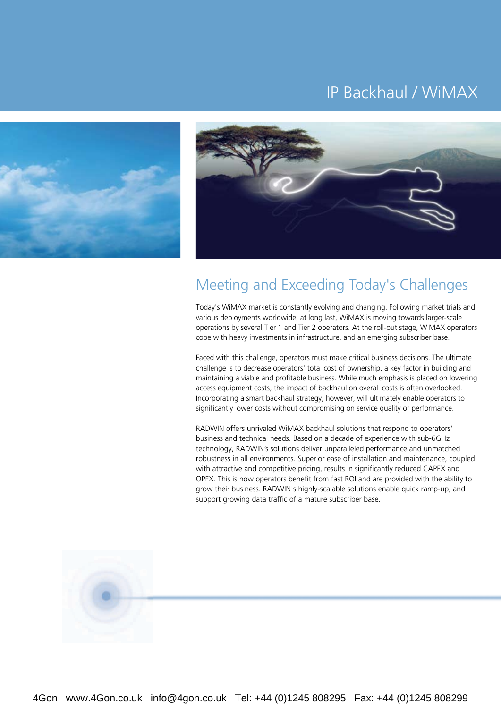### IP Backhaul / WiMAX





#### Meeting and Exceeding Today's Challenges

Today's WiMAX market is constantly evolving and changing. Following market trials and various deployments worldwide, at long last, WiMAX is moving towards larger-scale operations by several Tier 1 and Tier 2 operators. At the roll-out stage, WiMAX operators cope with heavy investments in infrastructure, and an emerging subscriber base.

Faced with this challenge, operators must make critical business decisions. The ultimate challenge is to decrease operators' total cost of ownership, a key factor in building and maintaining a viable and profitable business. While much emphasis is placed on lowering access equipment costs, the impact of backhaul on overall costs is often overlooked. Incorporating a smart backhaul strategy, however, will ultimately enable operators to significantly lower costs without compromising on service quality or performance.

RADWIN offers unrivaled WiMAX backhaul solutions that respond to operators' business and technical needs. Based on a decade of experience with sub-6GHz technology, RADWIN's solutions deliver unparalleled performance and unmatched robustness in all environments. Superior ease of installation and maintenance, coupled with attractive and competitive pricing, results in significantly reduced CAPEX and OPEX. This is how operators benefit from fast ROI and are provided with the ability to grow their business. RADWIN's highly-scalable solutions enable quick ramp-up, and support growing data traffic of a mature subscriber base.

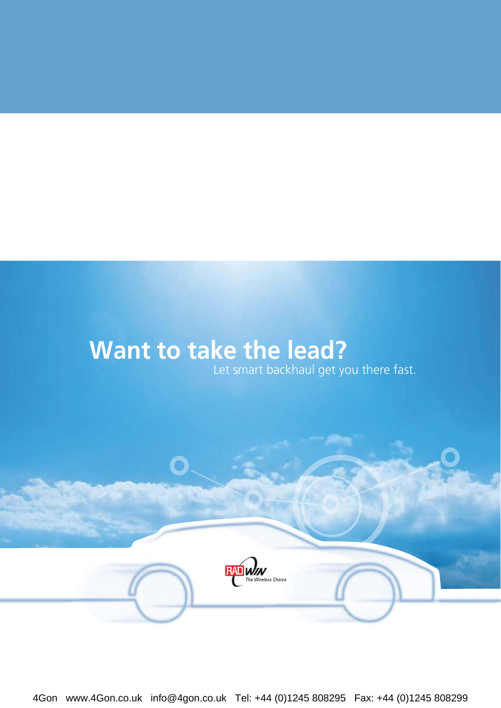# **Want to take the lead?**

Let smart backhaul get you there fast.

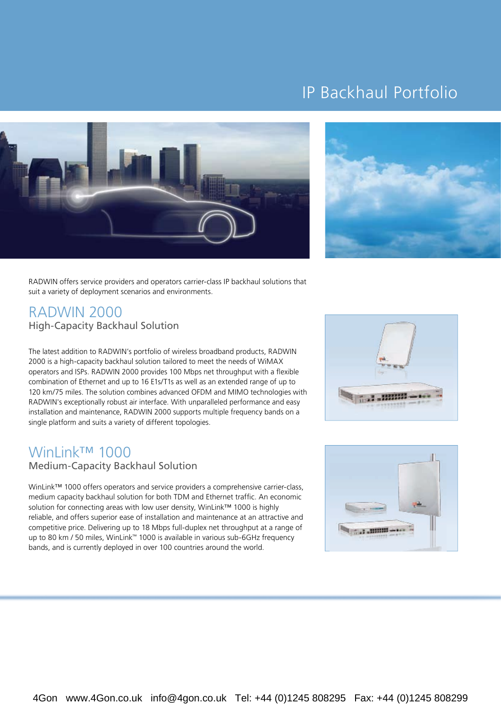## IP Backhaul Portfolio





RADWIN offers service providers and operators carrier-class IP backhaul solutions that suit a variety of deployment scenarios and environments.

#### **RADWIN 2000** High-Capacity Backhaul Solution

The latest addition to RADWIN's portfolio of wireless broadband products, RADWIN 2000 is a high-capacity backhaul solution tailored to meet the needs of WiMAX operators and ISPs. RADWIN 2000 provides 100 Mbps net throughput with a flexible combination of Ethernet and up to 16 E1s/T1s as well as an extended range of up to 120 km/75 miles. The solution combines advanced OFDM and MIMO technologies with RADWIN's exceptionally robust air interface. With unparalleled performance and easy installation and maintenance, RADWIN 2000 supports multiple frequency bands on a single platform and suits a variety of different topologies.

### WinLink<sup>TM</sup> 1000

#### Medium-Capacity Backhaul Solution

WinLink<sup>™</sup> 1000 offers operators and service providers a comprehensive carrier-class, medium capacity backhaul solution for both TDM and Ethernet traffic. An economic solution for connecting areas with low user density, WinLink™ 1000 is highly reliable, and offers superior ease of installation and maintenance at an attractive and competitive price. Delivering up to 18 Mbps full-duplex net throughput at a range of up to 80 km / 50 miles, WinLink<sup>™</sup> 1000 is available in various sub-6GHz frequency bands, and is currently deployed in over 100 countries around the world.



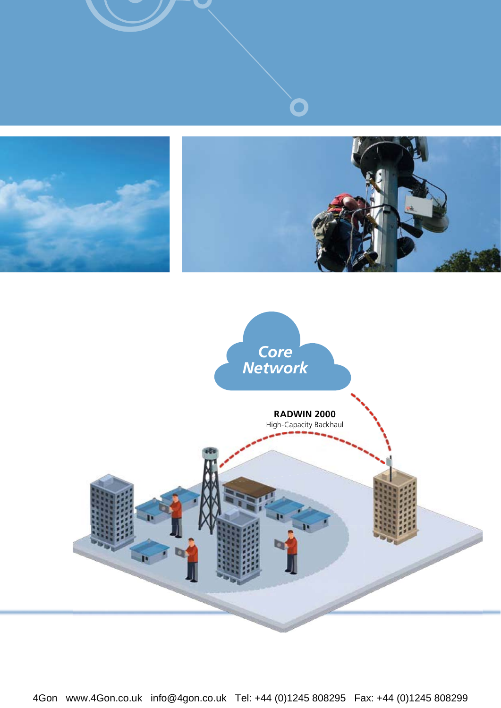